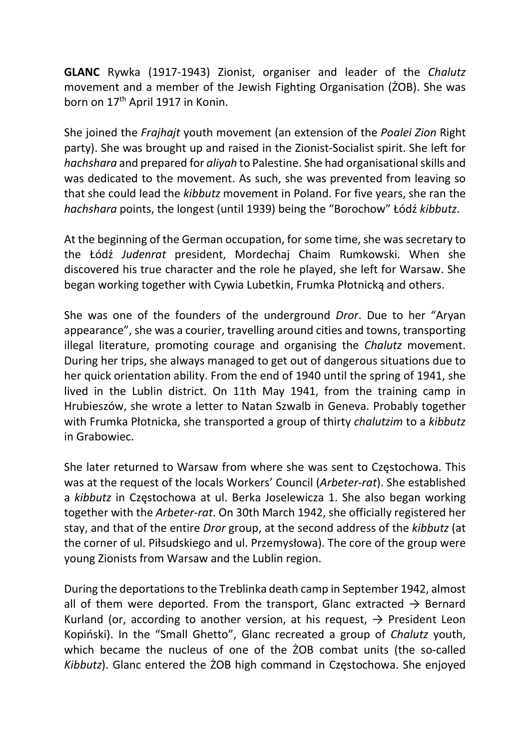GLANC Rywka (1917-1943) Zionist, organiser and leader of the Chalutz movement and a member of the Jewish Fighting Organisation (ŻOB). She was born on 17<sup>th</sup> April 1917 in Konin.

She joined the Frajhajt youth movement (an extension of the Poalei Zion Right party). She was brought up and raised in the Zionist-Socialist spirit. She left for hachshara and prepared for aliyah to Palestine. She had organisational skills and was dedicated to the movement. As such, she was prevented from leaving so that she could lead the kibbutz movement in Poland. For five years, she ran the hachshara points, the longest (until 1939) being the "Borochow" Łódź kibbutz.

At the beginning of the German occupation, for some time, she was secretary to the Łódź Judenrat president, Mordechaj Chaim Rumkowski. When she discovered his true character and the role he played, she left for Warsaw. She began working together with Cywia Lubetkin, Frumka Płotnicką and others.

She was one of the founders of the underground Dror. Due to her "Aryan appearance", she was a courier, travelling around cities and towns, transporting illegal literature, promoting courage and organising the Chalutz movement. During her trips, she always managed to get out of dangerous situations due to her quick orientation ability. From the end of 1940 until the spring of 1941, she lived in the Lublin district. On 11th May 1941, from the training camp in Hrubieszów, she wrote a letter to Natan Szwalb in Geneva. Probably together with Frumka Płotnicka, she transported a group of thirty chalutzim to a kibbutz in Grabowiec.

She later returned to Warsaw from where she was sent to Częstochowa. This was at the request of the locals Workers' Council (Arbeter-rat). She established a kibbutz in Częstochowa at ul. Berka Joselewicza 1. She also began working together with the Arbeter-rat. On 30th March 1942, she officially registered her stay, and that of the entire Dror group, at the second address of the kibbutz (at the corner of ul. Piłsudskiego and ul. Przemysłowa). The core of the group were young Zionists from Warsaw and the Lublin region.

During the deportations to the Treblinka death camp in September 1942, almost all of them were deported. From the transport, Glanc extracted  $\rightarrow$  Bernard Kurland (or, according to another version, at his request,  $\rightarrow$  President Leon Kopiński). In the "Small Ghetto", Glanc recreated a group of Chalutz youth, which became the nucleus of one of the  $2OB$  combat units (the so-called Kibbutz). Glanc entered the ŻOB high command in Częstochowa. She enjoyed